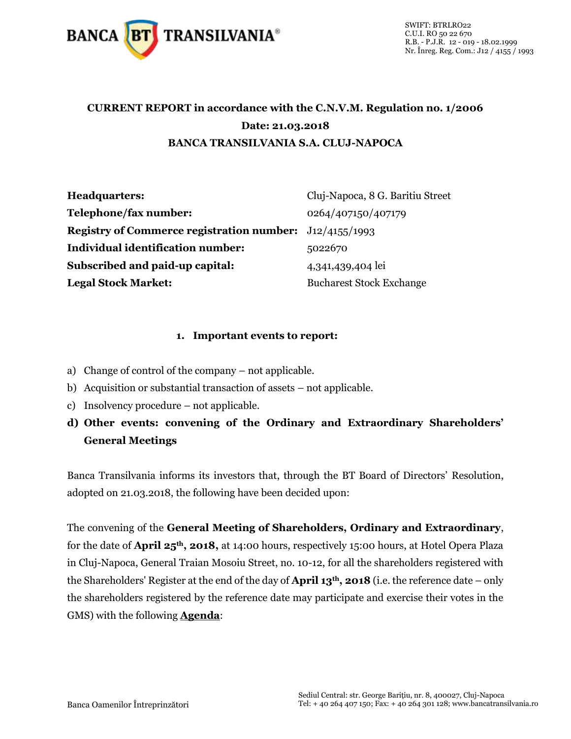

# **CURRENT REPORT in accordance with the C.N.V.M. Regulation no. 1/2006 Date: 21.03.2018 BANCA TRANSILVANIA S.A. CLUJ-NAPOCA**

| <b>Headquarters:</b>                                           | Cluj-Napoca, 8 G. Baritiu Street |
|----------------------------------------------------------------|----------------------------------|
| Telephone/fax number:                                          | 0264/407150/407179               |
| <b>Registry of Commerce registration number:</b> J12/4155/1993 |                                  |
| <b>Individual identification number:</b>                       | 5022670                          |
| Subscribed and paid-up capital:                                | 4,341,439,404 lei                |
| <b>Legal Stock Market:</b>                                     | <b>Bucharest Stock Exchange</b>  |

#### **1. Important events to report:**

- a) Change of control of the company not applicable.
- b) Acquisition or substantial transaction of assets not applicable.
- c) Insolvency procedure not applicable.
- **d) Other events: convening of the Ordinary and Extraordinary Shareholders' General Meetings**

Banca Transilvania informs its investors that, through the BT Board of Directors' Resolution, adopted on 21.03.2018, the following have been decided upon:

The convening of the **General Meeting of Shareholders, Ordinary and Extraordinary**, for the date of **April 25th, 2018,** at 14:00 hours, respectively 15:00 hours, at Hotel Opera Plaza in Cluj-Napoca, General Traian Mosoiu Street, no. 10-12, for all the shareholders registered with the Shareholders' Register at the end of the day of **April 13th, 2018** (i.e. the reference date – only the shareholders registered by the reference date may participate and exercise their votes in the GMS) with the following **Agenda**: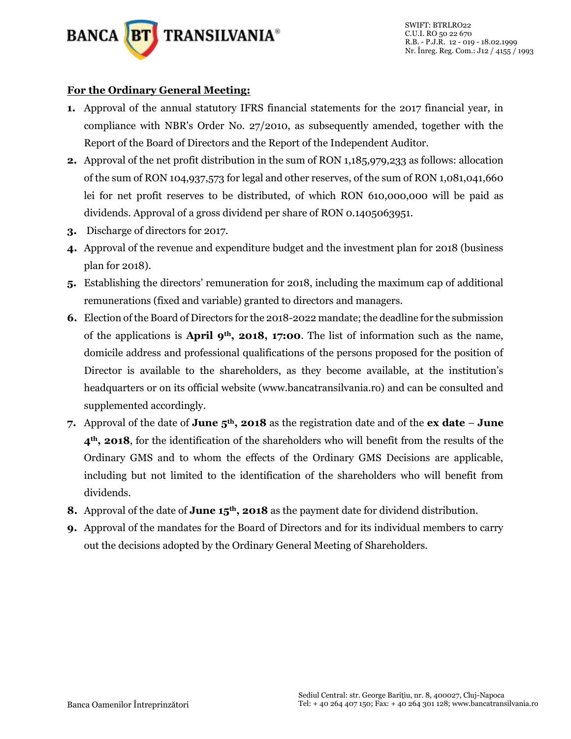

## **For the Ordinary General Meeting:**

- **1.** Approval of the annual statutory IFRS financial statements for the 2017 financial year, in compliance with NBR's Order No. 27/2010, as subsequently amended, together with the Report of the Board of Directors and the Report of the Independent Auditor.
- **2.** Approval of the net profit distribution in the sum of RON 1,185,979,233 as follows: allocation of the sum of RON 104,937,573 for legal and other reserves, of the sum of RON 1,081,041,660 lei for net profit reserves to be distributed, of which RON 610,000,000 will be paid as dividends. Approval of a gross dividend per share of RON 0.1405063951.
- **3.** Discharge of directors for 2017.
- **4.** Approval of the revenue and expenditure budget and the investment plan for 2018 (business plan for 2018).
- **5.** Establishing the directors' remuneration for 2018, including the maximum cap of additional remunerations (fixed and variable) granted to directors and managers.
- **6.** Election of the Board of Directors for the 2018-2022 mandate; the deadline for the submission of the applications is **April 9th, 2018, 17:00**. The list of information such as the name, domicile address and professional qualifications of the persons proposed for the position of Director is available to the shareholders, as they become available, at the institution's headquarters or on its official website (www.bancatransilvania.ro) and can be consulted and supplemented accordingly.
- **7.** Approval of the date of **June 5th, 2018** as the registration date and of the **ex date June 4th, 2018**, for the identification of the shareholders who will benefit from the results of the Ordinary GMS and to whom the effects of the Ordinary GMS Decisions are applicable, including but not limited to the identification of the shareholders who will benefit from dividends.
- **8.** Approval of the date of **June 15th, 2018** as the payment date for dividend distribution.
- **9.** Approval of the mandates for the Board of Directors and for its individual members to carry out the decisions adopted by the Ordinary General Meeting of Shareholders.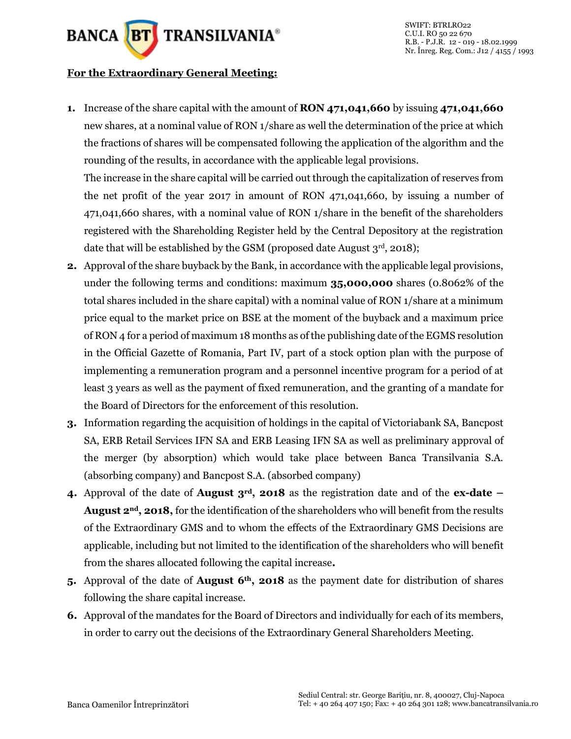

#### **For the Extraordinary General Meeting:**

**1.** Increase of the share capital with the amount of **RON 471,041,660** by issuing **471,041,660**  new shares, at a nominal value of RON 1/share as well the determination of the price at which the fractions of shares will be compensated following the application of the algorithm and the rounding of the results, in accordance with the applicable legal provisions.

The increase in the share capital will be carried out through the capitalization of reserves from the net profit of the year 2017 in amount of RON 471,041,660, by issuing a number of 471,041,660 shares, with a nominal value of RON 1/share in the benefit of the shareholders registered with the Shareholding Register held by the Central Depository at the registration date that will be established by the GSM (proposed date August  $3<sup>rd</sup>$ , 2018);

- **2.** Approval of the share buyback by the Bank, in accordance with the applicable legal provisions, under the following terms and conditions: maximum **35,000,000** shares (0.8062% of the total shares included in the share capital) with a nominal value of RON 1/share at a minimum price equal to the market price on BSE at the moment of the buyback and a maximum price of RON 4 for a period of maximum 18 months as of the publishing date of the EGMS resolution in the Official Gazette of Romania, Part IV, part of a stock option plan with the purpose of implementing a remuneration program and a personnel incentive program for a period of at least 3 years as well as the payment of fixed remuneration, and the granting of a mandate for the Board of Directors for the enforcement of this resolution.
- **3.** Information regarding the acquisition of holdings in the capital of Victoriabank SA, Bancpost SA, ERB Retail Services IFN SA and ERB Leasing IFN SA as well as preliminary approval of the merger (by absorption) which would take place between Banca Transilvania S.A. (absorbing company) and Bancpost S.A. (absorbed company)
- **4.** Approval of the date of **August 3rd, 2018** as the registration date and of the **ex-date – August 2nd, 2018,** for the identification of the shareholders who will benefit from the results of the Extraordinary GMS and to whom the effects of the Extraordinary GMS Decisions are applicable, including but not limited to the identification of the shareholders who will benefit from the shares allocated following the capital increase**.**
- **5.** Approval of the date of **August 6th, 2018** as the payment date for distribution of shares following the share capital increase.
- **6.** Approval of the mandates for the Board of Directors and individually for each of its members, in order to carry out the decisions of the Extraordinary General Shareholders Meeting.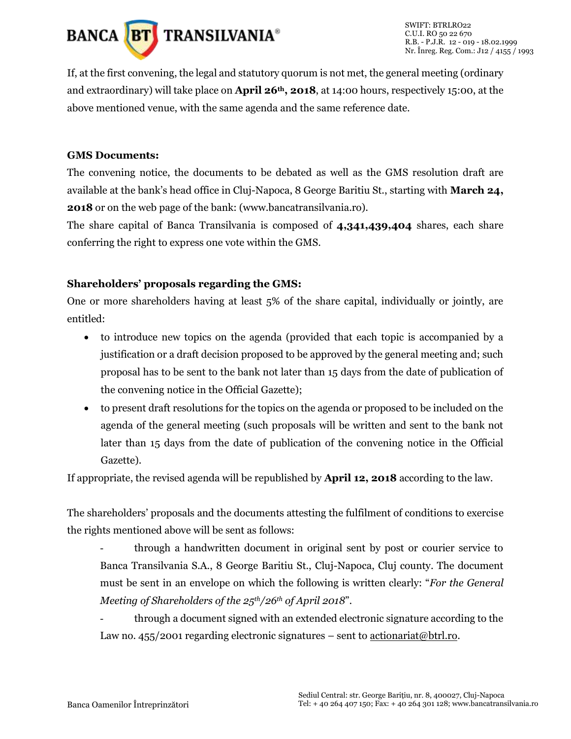

If, at the first convening, the legal and statutory quorum is not met, the general meeting (ordinary and extraordinary) will take place on **April 26th, 2018**, at 14:00 hours, respectively 15:00, at the above mentioned venue, with the same agenda and the same reference date.

#### **GMS Documents:**

The convening notice, the documents to be debated as well as the GMS resolution draft are available at the bank's head office in Cluj-Napoca, 8 George Baritiu St., starting with **March 24, 2018** or on the web page of the bank: (www.bancatransilvania.ro).

The share capital of Banca Transilvania is composed of **4,341,439,404** shares, each share conferring the right to express one vote within the GMS.

### **Shareholders' proposals regarding the GMS:**

One or more shareholders having at least 5% of the share capital, individually or jointly, are entitled:

- to introduce new topics on the agenda (provided that each topic is accompanied by a justification or a draft decision proposed to be approved by the general meeting and; such proposal has to be sent to the bank not later than 15 days from the date of publication of the convening notice in the Official Gazette);
- to present draft resolutions for the topics on the agenda or proposed to be included on the agenda of the general meeting (such proposals will be written and sent to the bank not later than 15 days from the date of publication of the convening notice in the Official Gazette).

If appropriate, the revised agenda will be republished by **April 12, 2018** according to the law.

The shareholders' proposals and the documents attesting the fulfilment of conditions to exercise the rights mentioned above will be sent as follows:

- through a handwritten document in original sent by post or courier service to Banca Transilvania S.A., 8 George Baritiu St., Cluj-Napoca, Cluj county. The document must be sent in an envelope on which the following is written clearly: "*For the General Meeting of Shareholders of the 25th/26th of April 2018*".
- through a document signed with an extended electronic signature according to the Law no. 455/2001 regarding electronic signatures – sent to  $\frac{\text{actionariat@btrl.co}}{\text{actionariat@btrl.co}}$ .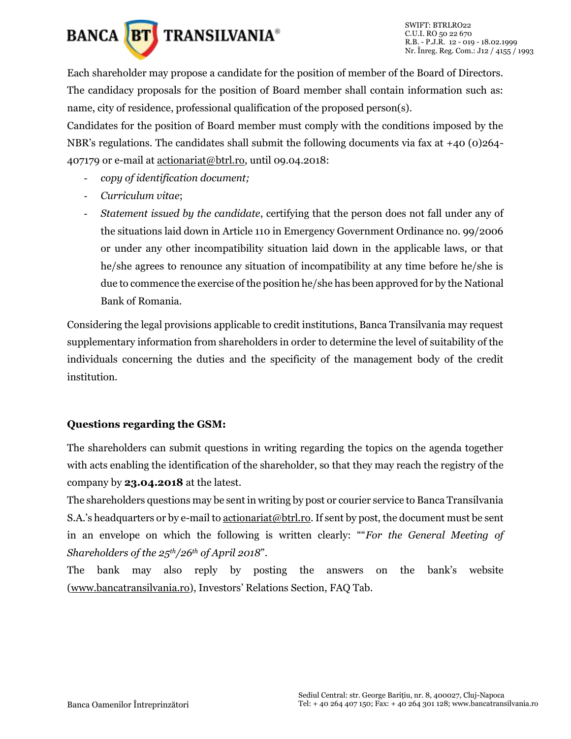

Each shareholder may propose a candidate for the position of member of the Board of Directors. The candidacy proposals for the position of Board member shall contain information such as: name, city of residence, professional qualification of the proposed person(s).

Candidates for the position of Board member must comply with the conditions imposed by the NBR's regulations. The candidates shall submit the following documents via fax at  $+40$  (0)264-407179 or e-mail at [actionariat@btrl.ro,](mailto:actionariat@btrl.ro) until 09.04.2018:

- *copy of identification document;*
- *Curriculum vitae*;
- *Statement issued by the candidate*, certifying that the person does not fall under any of the situations laid down in Article 110 in Emergency Government Ordinance no. 99/2006 or under any other incompatibility situation laid down in the applicable laws, or that he/she agrees to renounce any situation of incompatibility at any time before he/she is due to commence the exercise of the position he/she has been approved for by the National Bank of Romania.

Considering the legal provisions applicable to credit institutions, Banca Transilvania may request supplementary information from shareholders in order to determine the level of suitability of the individuals concerning the duties and the specificity of the management body of the credit institution.

### **Questions regarding the GSM:**

The shareholders can submit questions in writing regarding the topics on the agenda together with acts enabling the identification of the shareholder, so that they may reach the registry of the company by **23.04.2018** at the latest.

The shareholders questions may be sent in writing by post or courier service to Banca Transilvania S.A.'s headquarters or by e-mail to [actionariat@btrl.ro.](mailto:actionariat@btrl.ro) If sent by post, the document must be sent in an envelope on which the following is written clearly: ""*For the General Meeting of Shareholders of the 25th/26th of April 2018*".

The bank may also reply by posting the answers on the bank's website [\(www.bancatransilvania.ro](http://www.bancatransilvania.ro/)), Investors' Relations Section, FAQ Tab.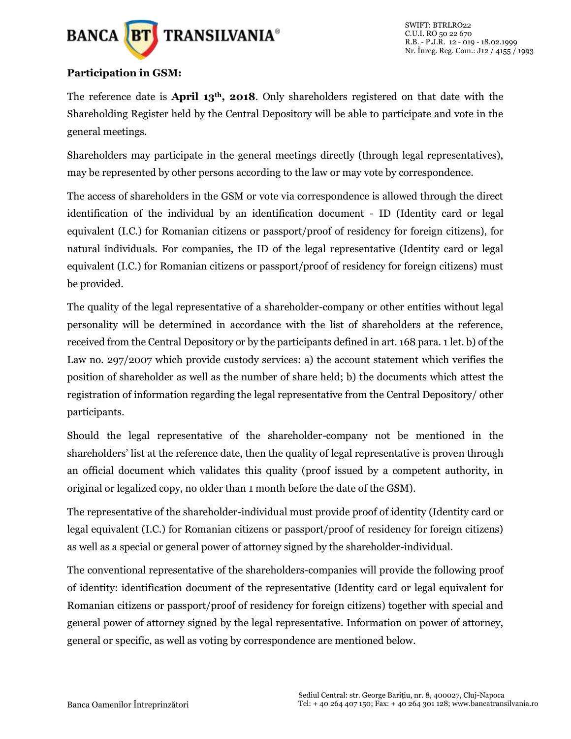

### **Participation in GSM:**

The reference date is **April 13th, 2018**. Only shareholders registered on that date with the Shareholding Register held by the Central Depository will be able to participate and vote in the general meetings.

Shareholders may participate in the general meetings directly (through legal representatives), may be represented by other persons according to the law or may vote by correspondence.

The access of shareholders in the GSM or vote via correspondence is allowed through the direct identification of the individual by an identification document - ID (Identity card or legal equivalent (I.C.) for Romanian citizens or passport/proof of residency for foreign citizens), for natural individuals. For companies, the ID of the legal representative (Identity card or legal equivalent (I.C.) for Romanian citizens or passport/proof of residency for foreign citizens) must be provided.

The quality of the legal representative of a shareholder-company or other entities without legal personality will be determined in accordance with the list of shareholders at the reference, received from the Central Depository or by the participants defined in art. 168 para. 1 let. b) of the Law no. 297/2007 which provide custody services: a) the account statement which verifies the position of shareholder as well as the number of share held; b) the documents which attest the registration of information regarding the legal representative from the Central Depository/ other participants.

Should the legal representative of the shareholder-company not be mentioned in the shareholders' list at the reference date, then the quality of legal representative is proven through an official document which validates this quality (proof issued by a competent authority, in original or legalized copy, no older than 1 month before the date of the GSM).

The representative of the shareholder-individual must provide proof of identity (Identity card or legal equivalent (I.C.) for Romanian citizens or passport/proof of residency for foreign citizens) as well as a special or general power of attorney signed by the shareholder-individual.

The conventional representative of the shareholders-companies will provide the following proof of identity: identification document of the representative (Identity card or legal equivalent for Romanian citizens or passport/proof of residency for foreign citizens) together with special and general power of attorney signed by the legal representative. Information on power of attorney, general or specific, as well as voting by correspondence are mentioned below.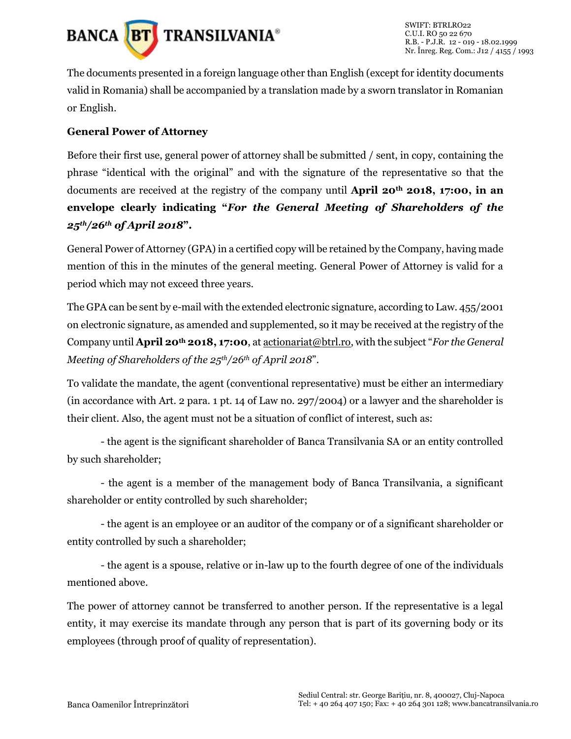

The documents presented in a foreign language other than English (except for identity documents valid in Romania) shall be accompanied by a translation made by a sworn translator in Romanian or English.

## **General Power of Attorney**

Before their first use, general power of attorney shall be submitted / sent, in copy, containing the phrase "identical with the original" and with the signature of the representative so that the documents are received at the registry of the company until **April 20th 2018, 17:00, in an envelope clearly indicating "***For the General Meeting of Shareholders of the 25th/26th of April 2018***".**

General Power of Attorney (GPA) in a certified copy will be retained by the Company, having made mention of this in the minutes of the general meeting. General Power of Attorney is valid for a period which may not exceed three years.

The GPA can be sent by e-mail with the extended electronic signature, according to Law. 455/2001 on electronic signature, as amended and supplemented, so it may be received at the registry of the Company until **April 20th 2018, 17:00**, a[t actionariat@btrl.ro](mailto:actionariat@btrl.ro), with the subject "*For the General Meeting of Shareholders of the 25th/26th of April 2018*".

To validate the mandate, the agent (conventional representative) must be either an intermediary (in accordance with Art. 2 para. 1 pt. 14 of Law no. 297/2004) or a lawyer and the shareholder is their client. Also, the agent must not be a situation of conflict of interest, such as:

- the agent is the significant shareholder of Banca Transilvania SA or an entity controlled by such shareholder;

- the agent is a member of the management body of Banca Transilvania, a significant shareholder or entity controlled by such shareholder;

- the agent is an employee or an auditor of the company or of a significant shareholder or entity controlled by such a shareholder;

- the agent is a spouse, relative or in-law up to the fourth degree of one of the individuals mentioned above.

The power of attorney cannot be transferred to another person. If the representative is a legal entity, it may exercise its mandate through any person that is part of its governing body or its employees (through proof of quality of representation).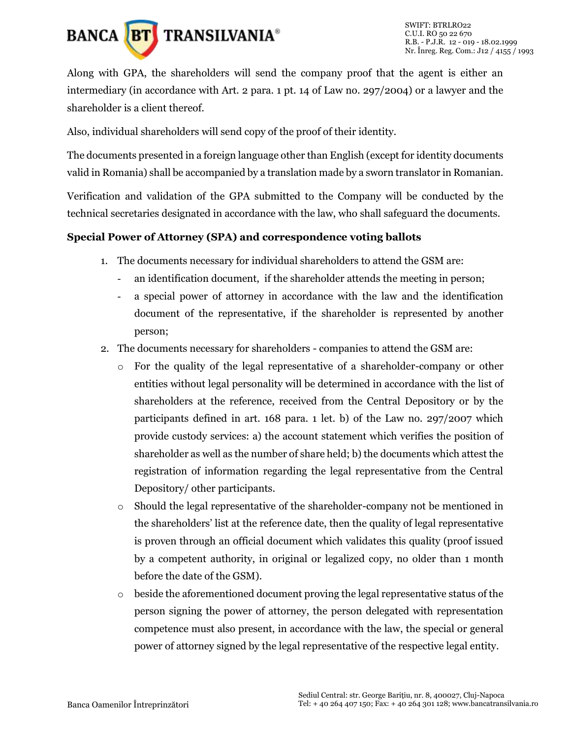

Along with GPA, the shareholders will send the company proof that the agent is either an intermediary (in accordance with Art. 2 para. 1 pt. 14 of Law no. 297/2004) or a lawyer and the shareholder is a client thereof.

Also, individual shareholders will send copy of the proof of their identity.

The documents presented in a foreign language other than English (except for identity documents valid in Romania) shall be accompanied by a translation made by a sworn translator in Romanian.

Verification and validation of the GPA submitted to the Company will be conducted by the technical secretaries designated in accordance with the law, who shall safeguard the documents.

### **Special Power of Attorney (SPA) and correspondence voting ballots**

- 1. The documents necessary for individual shareholders to attend the GSM are:
	- an identification document, if the shareholder attends the meeting in person;
	- a special power of attorney in accordance with the law and the identification document of the representative, if the shareholder is represented by another person;
- 2. The documents necessary for shareholders companies to attend the GSM are:
	- o For the quality of the legal representative of a shareholder-company or other entities without legal personality will be determined in accordance with the list of shareholders at the reference, received from the Central Depository or by the participants defined in art. 168 para. 1 let. b) of the Law no. 297/2007 which provide custody services: a) the account statement which verifies the position of shareholder as well as the number of share held; b) the documents which attest the registration of information regarding the legal representative from the Central Depository/ other participants.
	- o Should the legal representative of the shareholder-company not be mentioned in the shareholders' list at the reference date, then the quality of legal representative is proven through an official document which validates this quality (proof issued by a competent authority, in original or legalized copy, no older than 1 month before the date of the GSM).
	- $\circ$  beside the aforementioned document proving the legal representative status of the person signing the power of attorney, the person delegated with representation competence must also present, in accordance with the law, the special or general power of attorney signed by the legal representative of the respective legal entity.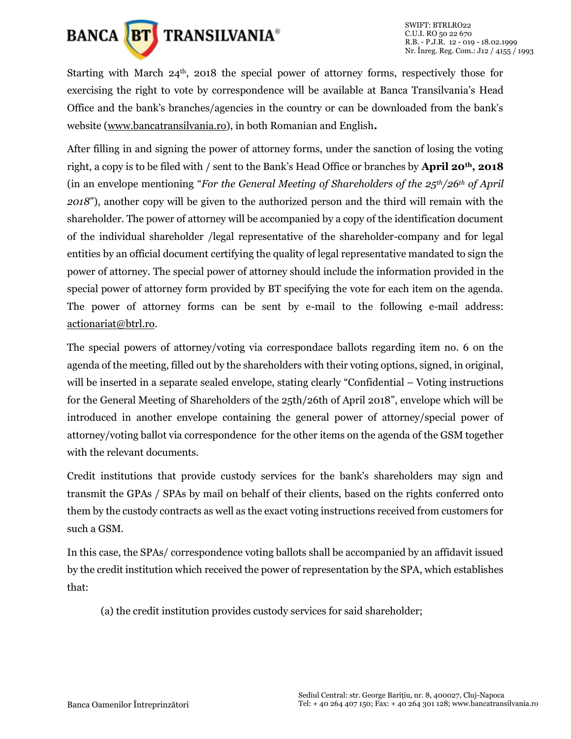

Starting with March  $24<sup>th</sup>$ , 2018 the special power of attorney forms, respectively those for exercising the right to vote by correspondence will be available at Banca Transilvania's Head Office and the bank's branches/agencies in the country or can be downloaded from the bank's website [\(www.bancatransilvania.ro\)](http://www.bancatransilvania.ro/), in both Romanian and English**.**

After filling in and signing the power of attorney forms, under the sanction of losing the voting right, a copy is to be filed with / sent to the Bank's Head Office or branches by **April 20th, 2018**  (in an envelope mentioning "*For the General Meeting of Shareholders of the 25th/26th of April 2018*"), another copy will be given to the authorized person and the third will remain with the shareholder. The power of attorney will be accompanied by a copy of the identification document of the individual shareholder /legal representative of the shareholder-company and for legal entities by an official document certifying the quality of legal representative mandated to sign the power of attorney. The special power of attorney should include the information provided in the special power of attorney form provided by BT specifying the vote for each item on the agenda. The power of attorney forms can be sent by e-mail to the following e-mail address: [actionariat@btrl.ro.](mailto:actionariat@btrl.ro)

The special powers of attorney/voting via correspondace ballots regarding item no. 6 on the agenda of the meeting, filled out by the shareholders with their voting options, signed, in original, will be inserted in a separate sealed envelope, stating clearly "Confidential – Voting instructions for the General Meeting of Shareholders of the 25th/26th of April 2018", envelope which will be introduced in another envelope containing the general power of attorney/special power of attorney/voting ballot via correspondence for the other items on the agenda of the GSM together with the relevant documents.

Credit institutions that provide custody services for the bank's shareholders may sign and transmit the GPAs / SPAs by mail on behalf of their clients, based on the rights conferred onto them by the custody contracts as well as the exact voting instructions received from customers for such a GSM.

In this case, the SPAs/ correspondence voting ballots shall be accompanied by an affidavit issued by the credit institution which received the power of representation by the SPA, which establishes that:

(a) the credit institution provides custody services for said shareholder;